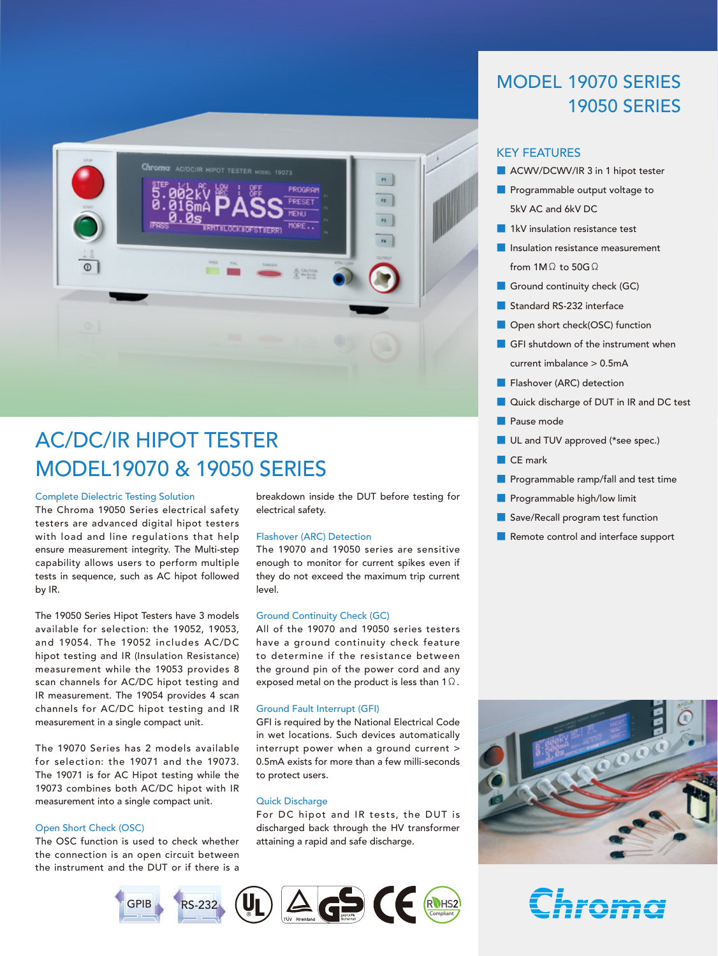

# AC/DC/IR HIPOT TESTER MODEL19070 & 19050 SERIES

#### Complete Dielectric Testing Solution

The Chroma 19050 Series electrical safety testers are advanced digital hipot testers with load and line regulations that help ensure measurement integrity. The Multi-step capability allows users to perform multiple tests in sequence, such as AC hipot followed by IR.

The 19050 Series Hipot Testers have 3 models available for selection: the 19052, 19053, and 19054. The 19052 includes AC/DC hipot testing and IR (Insulation Resistance) measurement while the 19053 provides 8 scan channels for AC/DC hipot testing and IR measurement. The 19054 provides 4 scan channels for AC/DC hipot testing and IR measurement in a single compact unit.

The 19070 Series has 2 models available for selection: the 19071 and the 19073. The 19071 is for AC Hipot testing while the 19073 combines both AC/DC hipot with IR measurement into a single compact unit.

#### Open Short Check (OSC)

The OSC function is used to check whether the connection is an open circuit between the instrument and the DUT or if there is a

breakdown inside the DUT before testing for electrical safety.

#### Flashover (ARC) Detection

The 19070 and 19050 series are sensitive enough to monitor for current spikes even if they do not exceed the maximum trip current level.

#### Ground Continuity Check (GC)

All of the 19070 and 19050 series testers have a ground continuity check feature to determine if the resistance between the ground pin of the power cord and any exposed metal on the product is less than 1Ω.



discharged back through the HV transformer attaining a rapid and safe discharge.



# MODEL 19070 SERIES 19050 SERIES

#### KEY FEATURES

- ACWV/DCWV/IR 3 in 1 hipot tester
- Programmable output voltage to 5kV AC and 6kV DC
- 1kV insulation resistance test
- **■** Insulation resistance measurement from 1MΩ to 50GΩ
- Ground continuity check (GC)
- Standard RS-232 interface
- Open short check(OSC) function
- GFI shutdown of the instrument when current imbalance > 0.5mA
- Flashover (ARC) detection
- Quick discharge of DUT in IR and DC test
- Pause mode
- UL and TUV approved (\*see spec.)
- CE mark
- Programmable ramp/fall and test time
- Programmable high/low limit
- Save/Recall program test function
- Remote control and interface support



Chroma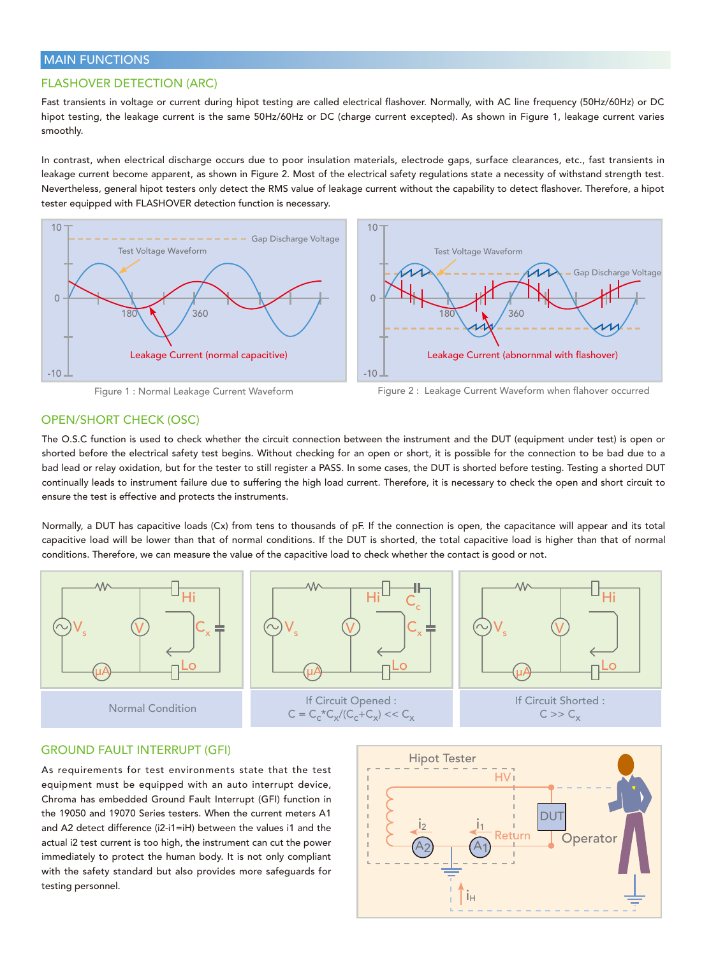### MAIN FUNCTIONS

### FLASHOVER DETECTION (ARC)

Fast transients in voltage or current during hipot testing are called electrical flashover. Normally, with AC line frequency (50Hz/60Hz) or DC hipot testing, the leakage current is the same 50Hz/60Hz or DC (charge current excepted). As shown in Figure 1, leakage current varies smoothly.

In contrast, when electrical discharge occurs due to poor insulation materials, electrode gaps, surface clearances, etc., fast transients in leakage current become apparent, as shown in Figure 2. Most of the electrical safety regulations state a necessity of withstand strength test. Nevertheless, general hipot testers only detect the RMS value of leakage current without the capability to detect flashover. Therefore, a hipot tester equipped with FLASHOVER detection function is necessary.



Figure 1 : Normal Leakage Current Waveform

Figure 2 : Leakage Current Waveform when flahover occurred

# OPEN/SHORT CHECK (OSC)

The O.S.C function is used to check whether the circuit connection between the instrument and the DUT (equipment under test) is open or shorted before the electrical safety test begins. Without checking for an open or short, it is possible for the connection to be bad due to a bad lead or relay oxidation, but for the tester to still register a PASS. In some cases, the DUT is shorted before testing. Testing a shorted DUT continually leads to instrument failure due to suffering the high load current. Therefore, it is necessary to check the open and short circuit to ensure the test is effective and protects the instruments.

Normally, a DUT has capacitive loads (Cx) from tens to thousands of pF. If the connection is open, the capacitance will appear and its total capacitive load will be lower than that of normal conditions. If the DUT is shorted, the total capacitive load is higher than that of normal conditions. Therefore, we can measure the value of the capacitive load to check whether the contact is good or not.



### GROUND FAULT INTERRUPT (GFI)

As requirements for test environments state that the test equipment must be equipped with an auto interrupt device, Chroma has embedded Ground Fault Interrupt (GFI) function in the 19050 and 19070 Series testers. When the current meters A1 and A2 detect difference (i2-i1=iH) between the values i1 and the actual i2 test current is too high, the instrument can cut the power immediately to protect the human body. It is not only compliant with the safety standard but also provides more safeguards for testing personnel.

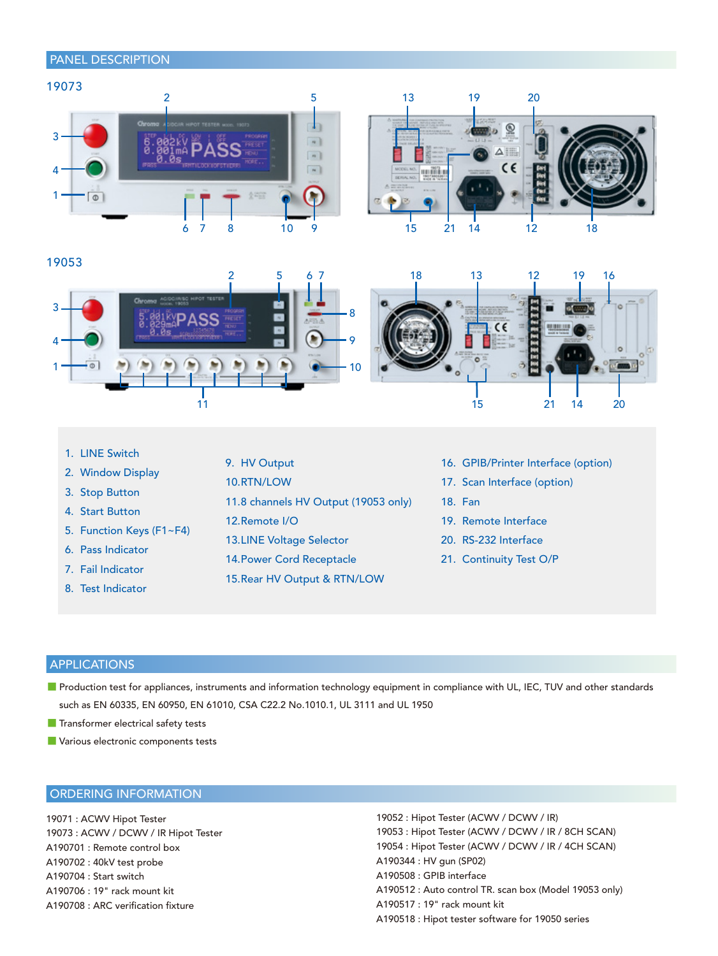# PANEL DESCRIPTION







- 1. LINE Switch
- 2. Window Display
- 3. Stop Button
- 4. Start Button
- 5. Function Keys (F1~F4)
- 6. Pass Indicator
- 7. Fail Indicator
- 8. Test Indicator
- 9. HV Output
- 10. RTN/LOW
- 11.8 channels HV Output (19053 only)
- 12. Remote I/O
- 13. LINE Voltage Selector
- 14. Power Cord Receptacle
- 15. Rear HV Output & RTN/LOW
- 16. GPIB/Printer Interface (option)
- 17. Scan Interface (option)
- 18. Fan
- 19. Remote Interface
- 20. RS-232 Interface
- 21. Continuity Test O/P

# APPLICATIONS

- Production test for appliances, instruments and information technology equipment in compliance with UL, IEC, TUV and other standards such as EN 60335, EN 60950, EN 61010, CSA C22.2 No.1010.1, UL 3111 and UL 1950
- Transformer electrical safety tests
- Various electronic components tests

# ORDERING INFORMATION

19071 : ACWV Hipot Tester 19073 : ACWV / DCWV / IR Hipot Tester A190701 : Remote control box A190702 : 40kV test probe A190704 : Start switch A190706 : 19" rack mount kit A190708 : ARC verification fixture

19052 : Hipot Tester (ACWV / DCWV / IR) 19053 : Hipot Tester (ACWV / DCWV / IR / 8CH SCAN) 19054 : Hipot Tester (ACWV / DCWV / IR / 4CH SCAN) A190344 : HV gun (SP02) A190508 : GPIB interface A190512 : Auto control TR. scan box (Model 19053 only) A190517 : 19" rack mount kit A190518 : Hipot tester software for 19050 series